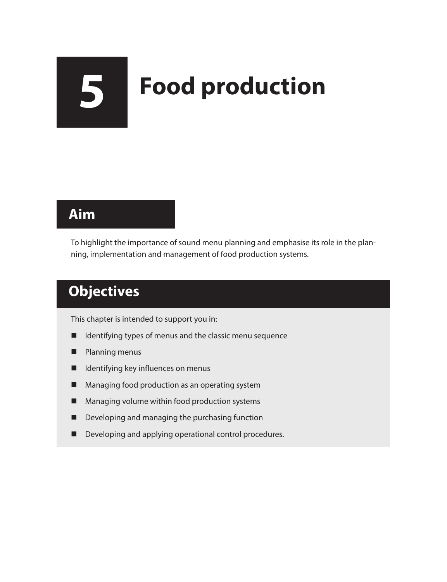# **5 Food production**

# **Aim**

To highlight the importance of sound menu planning and emphasise its role in the planning, implementation and management of food production systems.

# **Objectives**

This chapter is intended to support you in:

- Identifying types of menus and the classic menu sequence
- **Planning menus**
- Identifying key influences on menus
- **Managing food production as an operating system**
- **Managing volume within food production systems**
- Developing and managing the purchasing function
- Developing and applying operational control procedures.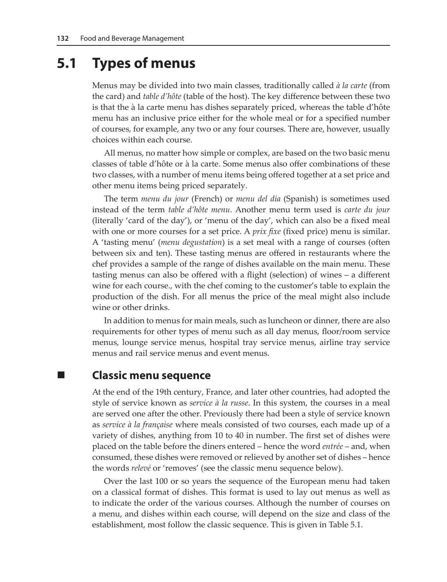## **5.1 Types of menus**

Menus may be divided into two main classes, traditionally called *à la carte* (from the card) and *table d'hôte* (table of the host). The key difference between these two is that the à la carte menu has dishes separately priced, whereas the table d'hôte menu has an inclusive price either for the whole meal or for a specified number of courses, for example, any two or any four courses. There are, however, usually choices within each course.

All menus, no matter how simple or complex, are based on the two basic menu classes of table d'hôte or à la carte. Some menus also offer combinations of these two classes, with a number of menu items being offered together at a set price and other menu items being priced separately.

The term *menu du jour* (French) or *menu del dia* (Spanish) is sometimes used instead of the term *table d'hôte menu*. Another menu term used is *carte du jour*  (literally 'card of the day'), or 'menu of the day', which can also be a fixed meal with one or more courses for a set price. A *prix fixe* (fixed price) menu is similar. A 'tasting menu' (*menu degustation*) is a set meal with a range of courses (often between six and ten). These tasting menus are offered in restaurants where the chef provides a sample of the range of dishes available on the main menu. These tasting menus can also be offered with a flight (selection) of wines – a different wine for each course., with the chef coming to the customer's table to explain the production of the dish. For all menus the price of the meal might also include wine or other drinks.

In addition to menus for main meals, such as luncheon or dinner, there are also requirements for other types of menu such as all day menus, floor/room service menus, lounge service menus, hospital tray service menus, airline tray service menus and rail service menus and event menus.

### **Classic menu sequence**

At the end of the 19th century, France, and later other countries, had adopted the style of service known as *service à la russe*. In this system, the courses in a meal are served one after the other. Previously there had been a style of service known as *service à la française* where meals consisted of two courses, each made up of a variety of dishes, anything from 10 to 40 in number. The first set of dishes were placed on the table before the diners entered – hence the word *entrée* – and, when consumed, these dishes were removed or relieved by another set of dishes – hence the words *relevé* or 'removes' (see the classic menu sequence below).

Over the last 100 or so years the sequence of the European menu had taken on a classical format of dishes. This format is used to lay out menus as well as to indicate the order of the various courses. Although the number of courses on a menu, and dishes within each course, will depend on the size and class of the establishment, most follow the classic sequence. This is given in Table 5.1.